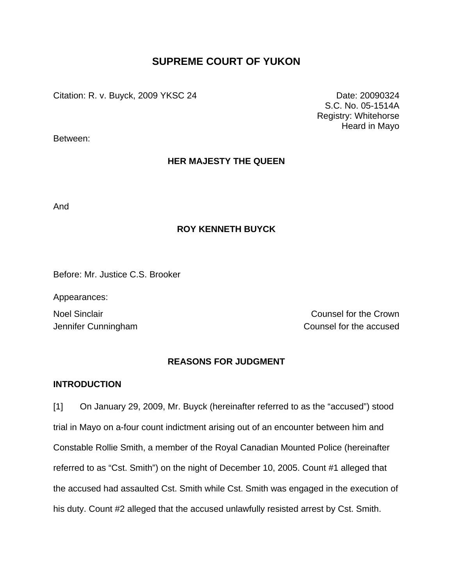# **SUPREME COURT OF YUKON**

Citation: R. v. Buyck, 2009 YKSC 24 Date: 20090324

S.C. No. 05-1514A Registry: Whitehorse Heard in Mayo

Between:

## **HER MAJESTY THE QUEEN**

And

## **ROY KENNETH BUYCK**

Before: Mr. Justice C.S. Brooker

Appearances:

Noel Sinclair **Noel Sinclair** Counsel for the Crown Jennifer Cunningham Counsel for the accused

## **REASONS FOR JUDGMENT**

## **INTRODUCTION**

[1] On January 29, 2009, Mr. Buyck (hereinafter referred to as the "accused") stood trial in Mayo on a-four count indictment arising out of an encounter between him and Constable Rollie Smith, a member of the Royal Canadian Mounted Police (hereinafter referred to as "Cst. Smith") on the night of December 10, 2005. Count #1 alleged that the accused had assaulted Cst. Smith while Cst. Smith was engaged in the execution of his duty. Count #2 alleged that the accused unlawfully resisted arrest by Cst. Smith.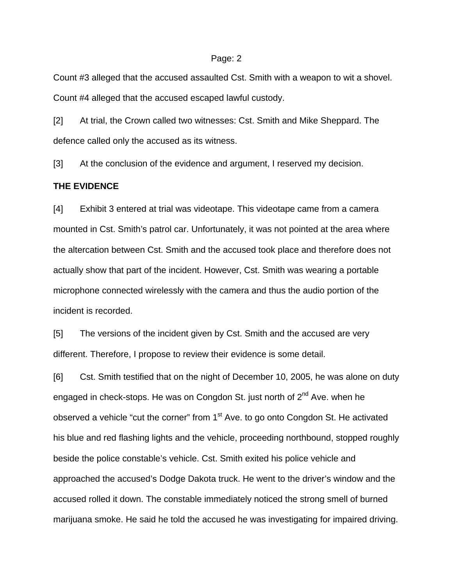Count #3 alleged that the accused assaulted Cst. Smith with a weapon to wit a shovel. Count #4 alleged that the accused escaped lawful custody.

[2] At trial, the Crown called two witnesses: Cst. Smith and Mike Sheppard. The defence called only the accused as its witness.

[3] At the conclusion of the evidence and argument, I reserved my decision.

### **THE EVIDENCE**

[4] Exhibit 3 entered at trial was videotape. This videotape came from a camera mounted in Cst. Smith's patrol car. Unfortunately, it was not pointed at the area where the altercation between Cst. Smith and the accused took place and therefore does not actually show that part of the incident. However, Cst. Smith was wearing a portable microphone connected wirelessly with the camera and thus the audio portion of the incident is recorded.

[5] The versions of the incident given by Cst. Smith and the accused are very different. Therefore, I propose to review their evidence is some detail.

[6] Cst. Smith testified that on the night of December 10, 2005, he was alone on duty engaged in check-stops. He was on Congdon St. just north of  $2^{nd}$  Ave. when he observed a vehicle "cut the corner" from  $1<sup>st</sup>$  Ave. to go onto Congdon St. He activated his blue and red flashing lights and the vehicle, proceeding northbound, stopped roughly beside the police constable's vehicle. Cst. Smith exited his police vehicle and approached the accused's Dodge Dakota truck. He went to the driver's window and the accused rolled it down. The constable immediately noticed the strong smell of burned marijuana smoke. He said he told the accused he was investigating for impaired driving.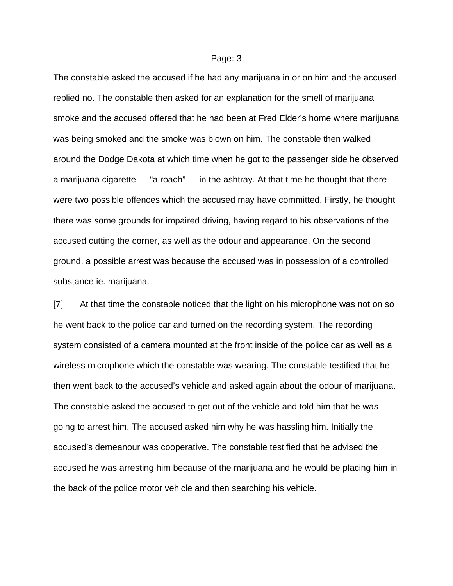The constable asked the accused if he had any marijuana in or on him and the accused replied no. The constable then asked for an explanation for the smell of marijuana smoke and the accused offered that he had been at Fred Elder's home where marijuana was being smoked and the smoke was blown on him. The constable then walked around the Dodge Dakota at which time when he got to the passenger side he observed a marijuana cigarette — "a roach" — in the ashtray. At that time he thought that there were two possible offences which the accused may have committed. Firstly, he thought there was some grounds for impaired driving, having regard to his observations of the accused cutting the corner, as well as the odour and appearance. On the second ground, a possible arrest was because the accused was in possession of a controlled substance ie. marijuana.

[7] At that time the constable noticed that the light on his microphone was not on so he went back to the police car and turned on the recording system. The recording system consisted of a camera mounted at the front inside of the police car as well as a wireless microphone which the constable was wearing. The constable testified that he then went back to the accused's vehicle and asked again about the odour of marijuana. The constable asked the accused to get out of the vehicle and told him that he was going to arrest him. The accused asked him why he was hassling him. Initially the accused's demeanour was cooperative. The constable testified that he advised the accused he was arresting him because of the marijuana and he would be placing him in the back of the police motor vehicle and then searching his vehicle.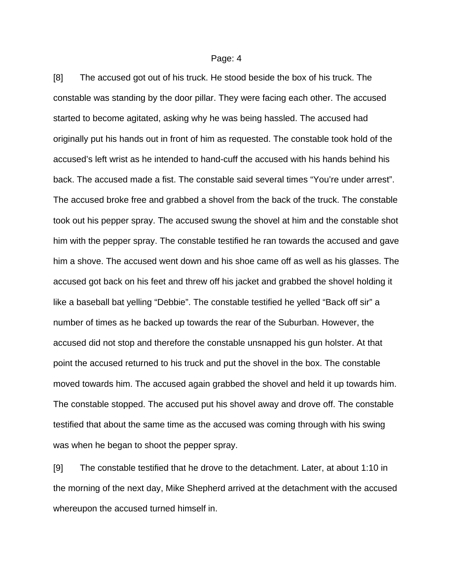[8] The accused got out of his truck. He stood beside the box of his truck. The constable was standing by the door pillar. They were facing each other. The accused started to become agitated, asking why he was being hassled. The accused had originally put his hands out in front of him as requested. The constable took hold of the accused's left wrist as he intended to hand-cuff the accused with his hands behind his back. The accused made a fist. The constable said several times "You're under arrest". The accused broke free and grabbed a shovel from the back of the truck. The constable took out his pepper spray. The accused swung the shovel at him and the constable shot him with the pepper spray. The constable testified he ran towards the accused and gave him a shove. The accused went down and his shoe came off as well as his glasses. The accused got back on his feet and threw off his jacket and grabbed the shovel holding it like a baseball bat yelling "Debbie". The constable testified he yelled "Back off sir" a number of times as he backed up towards the rear of the Suburban. However, the accused did not stop and therefore the constable unsnapped his gun holster. At that point the accused returned to his truck and put the shovel in the box. The constable moved towards him. The accused again grabbed the shovel and held it up towards him. The constable stopped. The accused put his shovel away and drove off. The constable testified that about the same time as the accused was coming through with his swing was when he began to shoot the pepper spray.

[9] The constable testified that he drove to the detachment. Later, at about 1:10 in the morning of the next day, Mike Shepherd arrived at the detachment with the accused whereupon the accused turned himself in.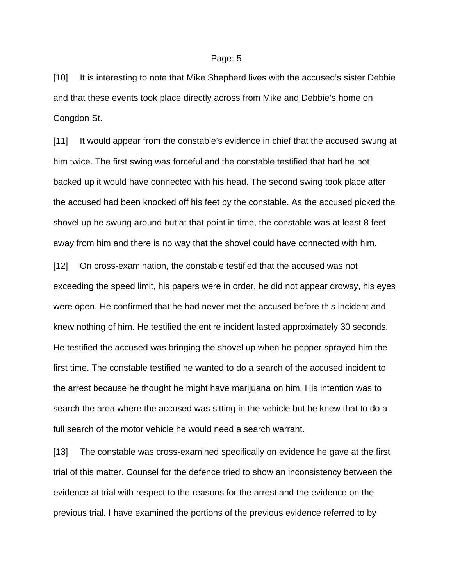[10] It is interesting to note that Mike Shepherd lives with the accused's sister Debbie and that these events took place directly across from Mike and Debbie's home on Congdon St.

[11] It would appear from the constable's evidence in chief that the accused swung at him twice. The first swing was forceful and the constable testified that had he not backed up it would have connected with his head. The second swing took place after the accused had been knocked off his feet by the constable. As the accused picked the shovel up he swung around but at that point in time, the constable was at least 8 feet away from him and there is no way that the shovel could have connected with him.

[12] On cross-examination, the constable testified that the accused was not exceeding the speed limit, his papers were in order, he did not appear drowsy, his eyes were open. He confirmed that he had never met the accused before this incident and knew nothing of him. He testified the entire incident lasted approximately 30 seconds. He testified the accused was bringing the shovel up when he pepper sprayed him the first time. The constable testified he wanted to do a search of the accused incident to the arrest because he thought he might have marijuana on him. His intention was to search the area where the accused was sitting in the vehicle but he knew that to do a full search of the motor vehicle he would need a search warrant.

[13] The constable was cross-examined specifically on evidence he gave at the first trial of this matter. Counsel for the defence tried to show an inconsistency between the evidence at trial with respect to the reasons for the arrest and the evidence on the previous trial. I have examined the portions of the previous evidence referred to by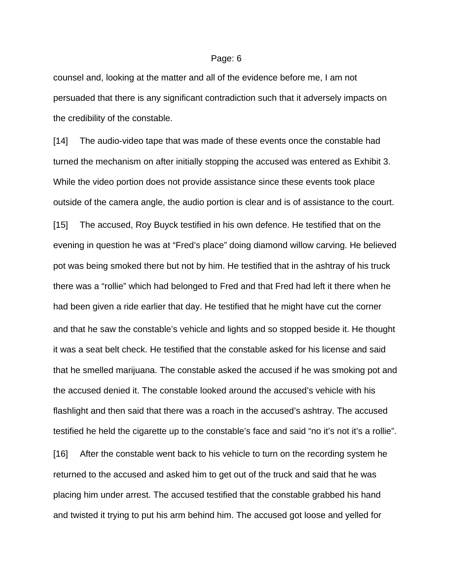counsel and, looking at the matter and all of the evidence before me, I am not persuaded that there is any significant contradiction such that it adversely impacts on the credibility of the constable.

[14] The audio-video tape that was made of these events once the constable had turned the mechanism on after initially stopping the accused was entered as Exhibit 3. While the video portion does not provide assistance since these events took place outside of the camera angle, the audio portion is clear and is of assistance to the court.

[15] The accused, Roy Buyck testified in his own defence. He testified that on the evening in question he was at "Fred's place" doing diamond willow carving. He believed pot was being smoked there but not by him. He testified that in the ashtray of his truck there was a "rollie" which had belonged to Fred and that Fred had left it there when he had been given a ride earlier that day. He testified that he might have cut the corner and that he saw the constable's vehicle and lights and so stopped beside it. He thought it was a seat belt check. He testified that the constable asked for his license and said that he smelled marijuana. The constable asked the accused if he was smoking pot and the accused denied it. The constable looked around the accused's vehicle with his flashlight and then said that there was a roach in the accused's ashtray. The accused testified he held the cigarette up to the constable's face and said "no it's not it's a rollie".

[16] After the constable went back to his vehicle to turn on the recording system he returned to the accused and asked him to get out of the truck and said that he was placing him under arrest. The accused testified that the constable grabbed his hand and twisted it trying to put his arm behind him. The accused got loose and yelled for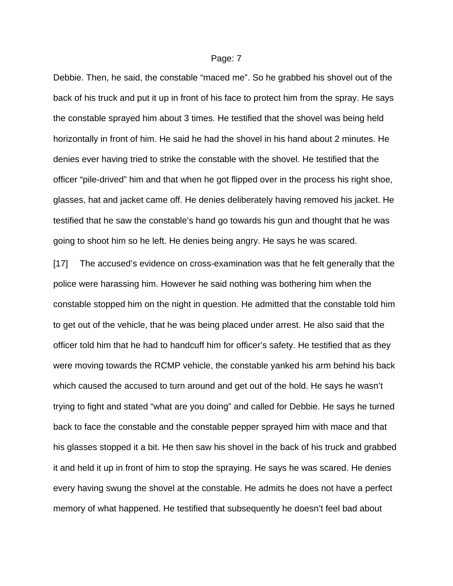Debbie. Then, he said, the constable "maced me". So he grabbed his shovel out of the back of his truck and put it up in front of his face to protect him from the spray. He says the constable sprayed him about 3 times. He testified that the shovel was being held horizontally in front of him. He said he had the shovel in his hand about 2 minutes. He denies ever having tried to strike the constable with the shovel. He testified that the officer "pile-drived" him and that when he got flipped over in the process his right shoe, glasses, hat and jacket came off. He denies deliberately having removed his jacket. He testified that he saw the constable's hand go towards his gun and thought that he was going to shoot him so he left. He denies being angry. He says he was scared.

[17] The accused's evidence on cross-examination was that he felt generally that the police were harassing him. However he said nothing was bothering him when the constable stopped him on the night in question. He admitted that the constable told him to get out of the vehicle, that he was being placed under arrest. He also said that the officer told him that he had to handcuff him for officer's safety. He testified that as they were moving towards the RCMP vehicle, the constable yanked his arm behind his back which caused the accused to turn around and get out of the hold. He says he wasn't trying to fight and stated "what are you doing" and called for Debbie. He says he turned back to face the constable and the constable pepper sprayed him with mace and that his glasses stopped it a bit. He then saw his shovel in the back of his truck and grabbed it and held it up in front of him to stop the spraying. He says he was scared. He denies every having swung the shovel at the constable. He admits he does not have a perfect memory of what happened. He testified that subsequently he doesn't feel bad about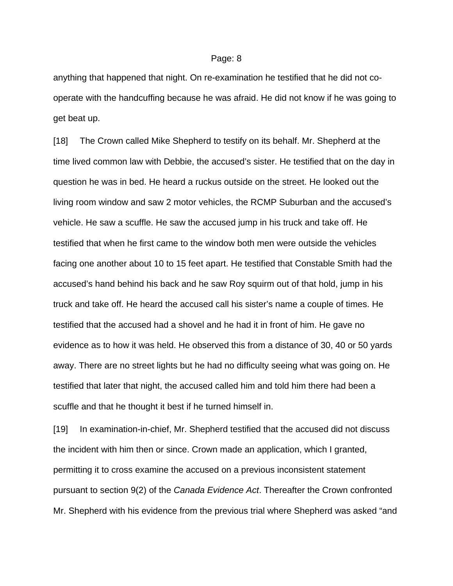anything that happened that night. On re-examination he testified that he did not cooperate with the handcuffing because he was afraid. He did not know if he was going to get beat up.

[18] The Crown called Mike Shepherd to testify on its behalf. Mr. Shepherd at the time lived common law with Debbie, the accused's sister. He testified that on the day in question he was in bed. He heard a ruckus outside on the street. He looked out the living room window and saw 2 motor vehicles, the RCMP Suburban and the accused's vehicle. He saw a scuffle. He saw the accused jump in his truck and take off. He testified that when he first came to the window both men were outside the vehicles facing one another about 10 to 15 feet apart. He testified that Constable Smith had the accused's hand behind his back and he saw Roy squirm out of that hold, jump in his truck and take off. He heard the accused call his sister's name a couple of times. He testified that the accused had a shovel and he had it in front of him. He gave no evidence as to how it was held. He observed this from a distance of 30, 40 or 50 yards away. There are no street lights but he had no difficulty seeing what was going on. He testified that later that night, the accused called him and told him there had been a scuffle and that he thought it best if he turned himself in.

[19] In examination-in-chief, Mr. Shepherd testified that the accused did not discuss the incident with him then or since. Crown made an application, which I granted, permitting it to cross examine the accused on a previous inconsistent statement pursuant to section 9(2) of the *Canada Evidence Act*. Thereafter the Crown confronted Mr. Shepherd with his evidence from the previous trial where Shepherd was asked "and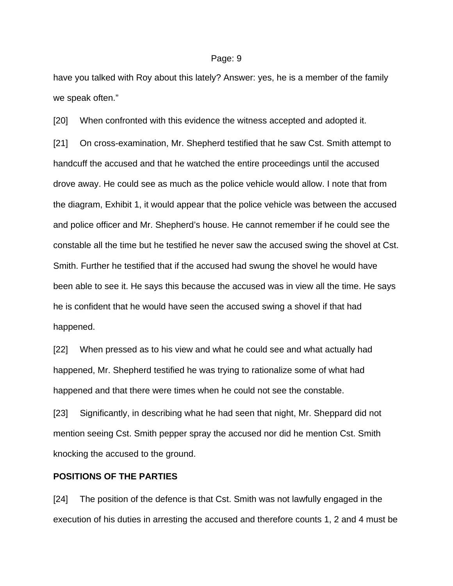have you talked with Roy about this lately? Answer: yes, he is a member of the family we speak often."

[20] When confronted with this evidence the witness accepted and adopted it.

[21] On cross-examination, Mr. Shepherd testified that he saw Cst. Smith attempt to handcuff the accused and that he watched the entire proceedings until the accused drove away. He could see as much as the police vehicle would allow. I note that from the diagram, Exhibit 1, it would appear that the police vehicle was between the accused and police officer and Mr. Shepherd's house. He cannot remember if he could see the constable all the time but he testified he never saw the accused swing the shovel at Cst. Smith. Further he testified that if the accused had swung the shovel he would have been able to see it. He says this because the accused was in view all the time. He says he is confident that he would have seen the accused swing a shovel if that had happened.

[22] When pressed as to his view and what he could see and what actually had happened, Mr. Shepherd testified he was trying to rationalize some of what had happened and that there were times when he could not see the constable.

[23] Significantly, in describing what he had seen that night, Mr. Sheppard did not mention seeing Cst. Smith pepper spray the accused nor did he mention Cst. Smith knocking the accused to the ground.

## **POSITIONS OF THE PARTIES**

[24] The position of the defence is that Cst. Smith was not lawfully engaged in the execution of his duties in arresting the accused and therefore counts 1, 2 and 4 must be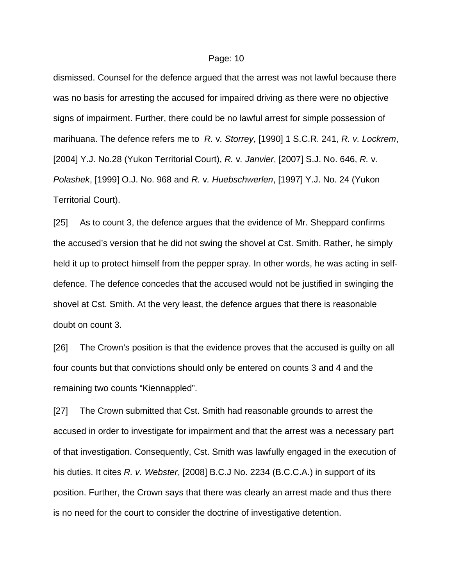dismissed. Counsel for the defence argued that the arrest was not lawful because there was no basis for arresting the accused for impaired driving as there were no objective signs of impairment. Further, there could be no lawful arrest for simple possession of marihuana. The defence refers me to *R.* v*. Storrey*, [1990] 1 S.C.R. 241, *R. v. Lockrem*, [2004] Y.J. No.28 (Yukon Territorial Court), *R.* v*. Janvier*, [2007] S.J. No. 646, *R.* v*. Polashek*, [1999] O.J. No. 968 and *R.* v*. Huebschwerlen*, [1997] Y.J. No. 24 (Yukon Territorial Court).

[25] As to count 3, the defence argues that the evidence of Mr. Sheppard confirms the accused's version that he did not swing the shovel at Cst. Smith. Rather, he simply held it up to protect himself from the pepper spray. In other words, he was acting in selfdefence. The defence concedes that the accused would not be justified in swinging the shovel at Cst. Smith. At the very least, the defence argues that there is reasonable doubt on count 3.

[26] The Crown's position is that the evidence proves that the accused is guilty on all four counts but that convictions should only be entered on counts 3 and 4 and the remaining two counts "Kiennappled".

[27] The Crown submitted that Cst. Smith had reasonable grounds to arrest the accused in order to investigate for impairment and that the arrest was a necessary part of that investigation. Consequently, Cst. Smith was lawfully engaged in the execution of his duties. It cites *R. v. Webster*, [2008] B.C.J No. 2234 (B.C.C.A.) in support of its position. Further, the Crown says that there was clearly an arrest made and thus there is no need for the court to consider the doctrine of investigative detention.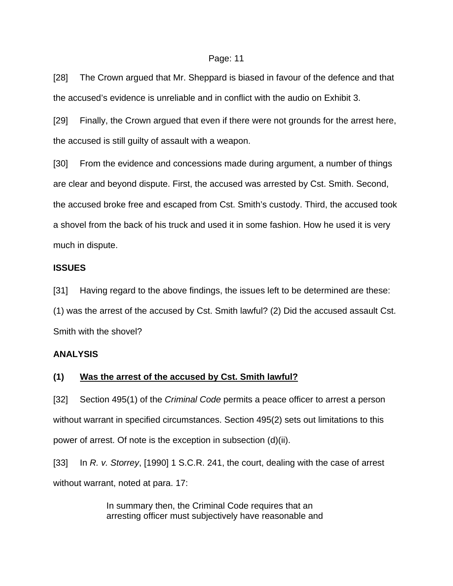[28] The Crown argued that Mr. Sheppard is biased in favour of the defence and that the accused's evidence is unreliable and in conflict with the audio on Exhibit 3.

[29] Finally, the Crown argued that even if there were not grounds for the arrest here, the accused is still guilty of assault with a weapon.

[30] From the evidence and concessions made during argument, a number of things are clear and beyond dispute. First, the accused was arrested by Cst. Smith. Second, the accused broke free and escaped from Cst. Smith's custody. Third, the accused took a shovel from the back of his truck and used it in some fashion. How he used it is very much in dispute.

### **ISSUES**

[31] Having regard to the above findings, the issues left to be determined are these: (1) was the arrest of the accused by Cst. Smith lawful? (2) Did the accused assault Cst. Smith with the shovel?

## **ANALYSIS**

## **(1) Was the arrest of the accused by Cst. Smith lawful?**

[32] Section 495(1) of the *Criminal Code* permits a peace officer to arrest a person without warrant in specified circumstances. Section 495(2) sets out limitations to this power of arrest. Of note is the exception in subsection (d)(ii).

[33] In *R. v. Storrey*, [1990] 1 S.C.R. 241, the court, dealing with the case of arrest without warrant, noted at para. 17:

> In summary then, the Criminal Code requires that an arresting officer must subjectively have reasonable and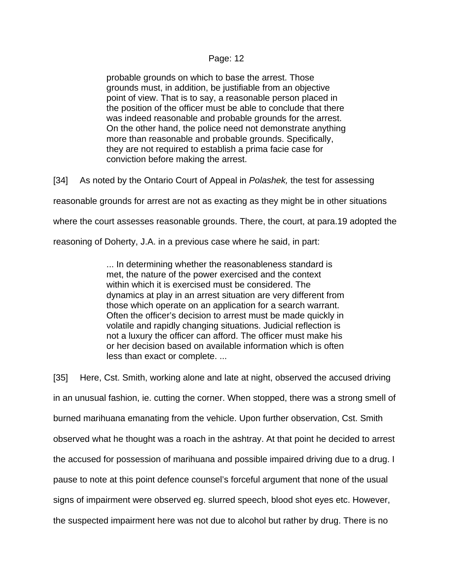probable grounds on which to base the arrest. Those grounds must, in addition, be justifiable from an objective point of view. That is to say, a reasonable person placed in the position of the officer must be able to conclude that there was indeed reasonable and probable grounds for the arrest. On the other hand, the police need not demonstrate anything more than reasonable and probable grounds. Specifically, they are not required to establish a prima facie case for conviction before making the arrest.

[34] As noted by the Ontario Court of Appeal in *Polashek,* the test for assessing

reasonable grounds for arrest are not as exacting as they might be in other situations

where the court assesses reasonable grounds. There, the court, at para.19 adopted the

reasoning of Doherty, J.A. in a previous case where he said, in part:

... In determining whether the reasonableness standard is met, the nature of the power exercised and the context within which it is exercised must be considered. The dynamics at play in an arrest situation are very different from those which operate on an application for a search warrant. Often the officer's decision to arrest must be made quickly in volatile and rapidly changing situations. Judicial reflection is not a luxury the officer can afford. The officer must make his or her decision based on available information which is often less than exact or complete. ...

[35] Here, Cst. Smith, working alone and late at night, observed the accused driving in an unusual fashion, ie. cutting the corner. When stopped, there was a strong smell of burned marihuana emanating from the vehicle. Upon further observation, Cst. Smith observed what he thought was a roach in the ashtray. At that point he decided to arrest the accused for possession of marihuana and possible impaired driving due to a drug. I pause to note at this point defence counsel's forceful argument that none of the usual signs of impairment were observed eg. slurred speech, blood shot eyes etc. However, the suspected impairment here was not due to alcohol but rather by drug. There is no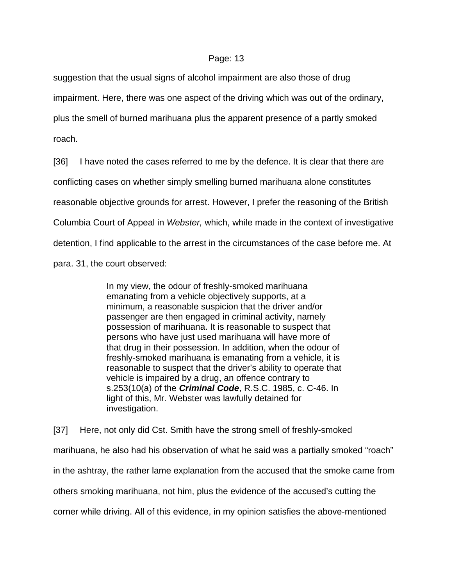suggestion that the usual signs of alcohol impairment are also those of drug

impairment. Here, there was one aspect of the driving which was out of the ordinary,

plus the smell of burned marihuana plus the apparent presence of a partly smoked

roach.

[36] I have noted the cases referred to me by the defence. It is clear that there are conflicting cases on whether simply smelling burned marihuana alone constitutes reasonable objective grounds for arrest. However, I prefer the reasoning of the British Columbia Court of Appeal in *Webster,* which, while made in the context of investigative detention, I find applicable to the arrest in the circumstances of the case before me. At para. 31, the court observed:

> In my view, the odour of freshly-smoked marihuana emanating from a vehicle objectively supports, at a minimum, a reasonable suspicion that the driver and/or passenger are then engaged in criminal activity, namely possession of marihuana. It is reasonable to suspect that persons who have just used marihuana will have more of that drug in their possession. In addition, when the odour of freshly-smoked marihuana is emanating from a vehicle, it is reasonable to suspect that the driver's ability to operate that vehicle is impaired by a drug, an offence contrary to s.253(10(a) of the *Criminal Code*, R.S.C. 1985, c. C-46. In light of this, Mr. Webster was lawfully detained for investigation.

[37] Here, not only did Cst. Smith have the strong smell of freshly-smoked marihuana, he also had his observation of what he said was a partially smoked "roach" in the ashtray, the rather lame explanation from the accused that the smoke came from others smoking marihuana, not him, plus the evidence of the accused's cutting the corner while driving. All of this evidence, in my opinion satisfies the above-mentioned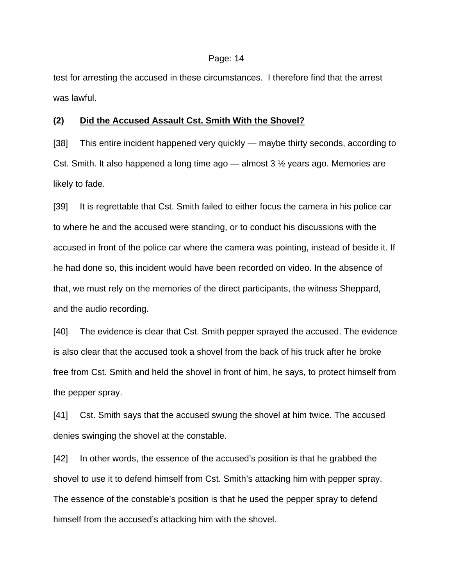test for arresting the accused in these circumstances. I therefore find that the arrest was lawful.

#### **(2) Did the Accused Assault Cst. Smith With the Shovel?**

[38] This entire incident happened very quickly — maybe thirty seconds, according to Cst. Smith. It also happened a long time ago — almost  $3\frac{1}{2}$  years ago. Memories are likely to fade.

[39] It is regrettable that Cst. Smith failed to either focus the camera in his police car to where he and the accused were standing, or to conduct his discussions with the accused in front of the police car where the camera was pointing, instead of beside it. If he had done so, this incident would have been recorded on video. In the absence of that, we must rely on the memories of the direct participants, the witness Sheppard, and the audio recording.

[40] The evidence is clear that Cst. Smith pepper sprayed the accused. The evidence is also clear that the accused took a shovel from the back of his truck after he broke free from Cst. Smith and held the shovel in front of him, he says, to protect himself from the pepper spray.

[41] Cst. Smith says that the accused swung the shovel at him twice. The accused denies swinging the shovel at the constable.

[42] In other words, the essence of the accused's position is that he grabbed the shovel to use it to defend himself from Cst. Smith's attacking him with pepper spray. The essence of the constable's position is that he used the pepper spray to defend himself from the accused's attacking him with the shovel.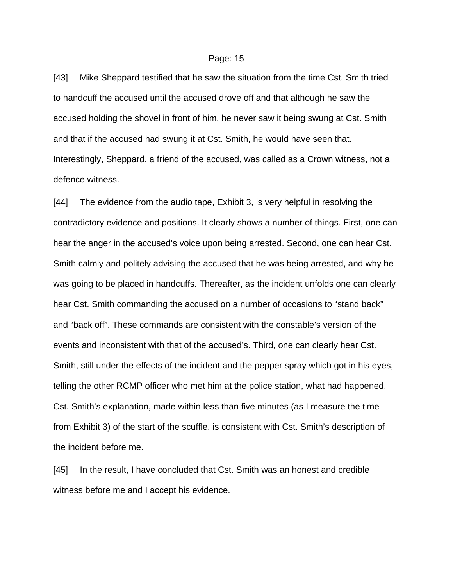[43] Mike Sheppard testified that he saw the situation from the time Cst. Smith tried to handcuff the accused until the accused drove off and that although he saw the accused holding the shovel in front of him, he never saw it being swung at Cst. Smith and that if the accused had swung it at Cst. Smith, he would have seen that. Interestingly, Sheppard, a friend of the accused, was called as a Crown witness, not a defence witness.

[44] The evidence from the audio tape, Exhibit 3, is very helpful in resolving the contradictory evidence and positions. It clearly shows a number of things. First, one can hear the anger in the accused's voice upon being arrested. Second, one can hear Cst. Smith calmly and politely advising the accused that he was being arrested, and why he was going to be placed in handcuffs. Thereafter, as the incident unfolds one can clearly hear Cst. Smith commanding the accused on a number of occasions to "stand back" and "back off". These commands are consistent with the constable's version of the events and inconsistent with that of the accused's. Third, one can clearly hear Cst. Smith, still under the effects of the incident and the pepper spray which got in his eyes, telling the other RCMP officer who met him at the police station, what had happened. Cst. Smith's explanation, made within less than five minutes (as I measure the time from Exhibit 3) of the start of the scuffle, is consistent with Cst. Smith's description of the incident before me.

[45] In the result, I have concluded that Cst. Smith was an honest and credible witness before me and I accept his evidence.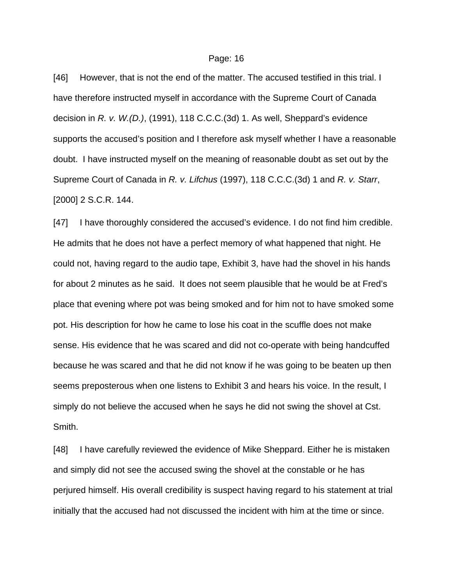[46] However, that is not the end of the matter. The accused testified in this trial. I have therefore instructed myself in accordance with the Supreme Court of Canada decision in *R. v. W.(D.)*, (1991), 118 C.C.C.(3d) 1. As well, Sheppard's evidence supports the accused's position and I therefore ask myself whether I have a reasonable doubt. I have instructed myself on the meaning of reasonable doubt as set out by the Supreme Court of Canada in *R. v. Lifchus* (1997), 118 C.C.C.(3d) 1 and *R. v. Starr*, [2000] 2 S.C.R. 144.

[47] I have thoroughly considered the accused's evidence. I do not find him credible. He admits that he does not have a perfect memory of what happened that night. He could not, having regard to the audio tape, Exhibit 3, have had the shovel in his hands for about 2 minutes as he said. It does not seem plausible that he would be at Fred's place that evening where pot was being smoked and for him not to have smoked some pot. His description for how he came to lose his coat in the scuffle does not make sense. His evidence that he was scared and did not co-operate with being handcuffed because he was scared and that he did not know if he was going to be beaten up then seems preposterous when one listens to Exhibit 3 and hears his voice. In the result, I simply do not believe the accused when he says he did not swing the shovel at Cst. Smith.

[48] I have carefully reviewed the evidence of Mike Sheppard. Either he is mistaken and simply did not see the accused swing the shovel at the constable or he has perjured himself. His overall credibility is suspect having regard to his statement at trial initially that the accused had not discussed the incident with him at the time or since.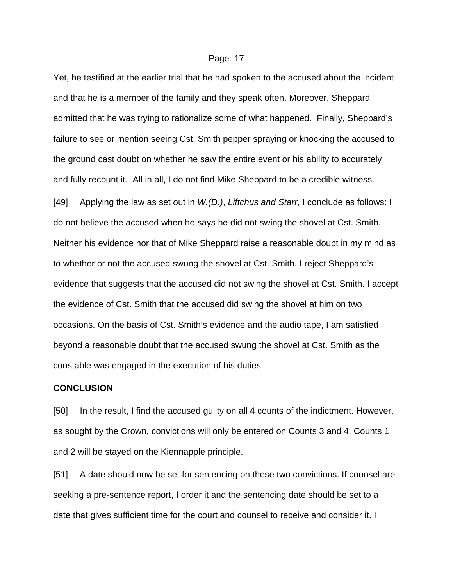Yet, he testified at the earlier trial that he had spoken to the accused about the incident and that he is a member of the family and they speak often. Moreover, Sheppard admitted that he was trying to rationalize some of what happened. Finally, Sheppard's failure to see or mention seeing Cst. Smith pepper spraying or knocking the accused to the ground cast doubt on whether he saw the entire event or his ability to accurately and fully recount it. All in all, I do not find Mike Sheppard to be a credible witness. [49] Applying the law as set out in *W.(D.)*, *Liftchus and Starr*, I conclude as follows: I do not believe the accused when he says he did not swing the shovel at Cst. Smith. Neither his evidence nor that of Mike Sheppard raise a reasonable doubt in my mind as to whether or not the accused swung the shovel at Cst. Smith. I reject Sheppard's evidence that suggests that the accused did not swing the shovel at Cst. Smith. I accept the evidence of Cst. Smith that the accused did swing the shovel at him on two occasions. On the basis of Cst. Smith's evidence and the audio tape, I am satisfied beyond a reasonable doubt that the accused swung the shovel at Cst. Smith as the constable was engaged in the execution of his duties.

## **CONCLUSION**

[50] In the result, I find the accused guilty on all 4 counts of the indictment. However, as sought by the Crown, convictions will only be entered on Counts 3 and 4. Counts 1 and 2 will be stayed on the Kiennapple principle.

[51] A date should now be set for sentencing on these two convictions. If counsel are seeking a pre-sentence report, I order it and the sentencing date should be set to a date that gives sufficient time for the court and counsel to receive and consider it. I